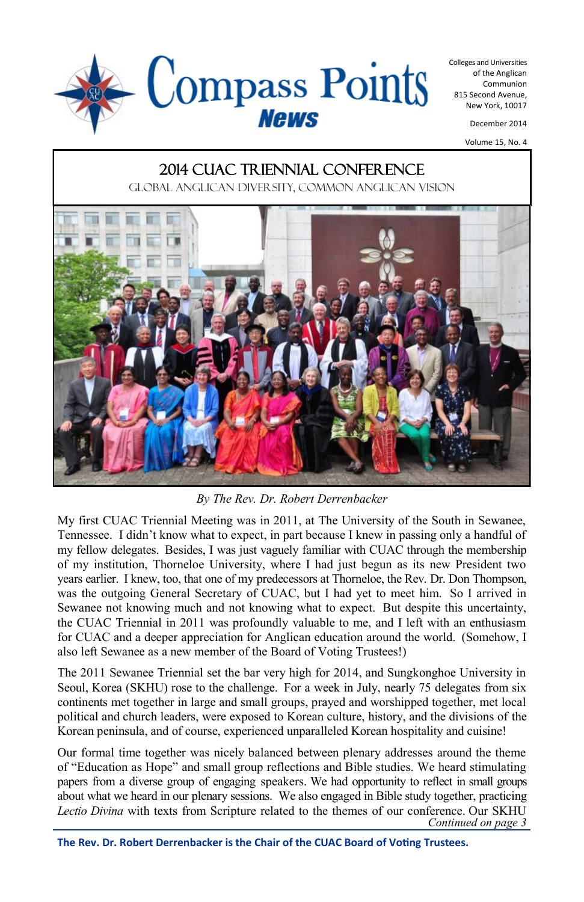

Colleges and Universities of the Anglican Communion 815 Second Avenue, New York, 10017

December 2014

Volume 15, No. 4

#### 2014 CUAC Triennial Conference

Global Anglican diversity, common Anglican vision



*By The Rev. Dr. Robert Derrenbacker*

My first CUAC Triennial Meeting was in 2011, at The University of the South in Sewanee, Tennessee. I didn't know what to expect, in part because I knew in passing only a handful of my fellow delegates. Besides, I was just vaguely familiar with CUAC through the membership of my institution, Thorneloe University, where I had just begun as its new President two years earlier. I knew, too, that one of my predecessors at Thorneloe, the Rev. Dr. Don Thompson, was the outgoing General Secretary of CUAC, but I had yet to meet him. So I arrived in Sewanee not knowing much and not knowing what to expect. But despite this uncertainty, the CUAC Triennial in 2011 was profoundly valuable to me, and I left with an enthusiasm for CUAC and a deeper appreciation for Anglican education around the world. (Somehow, I also left Sewanee as a new member of the Board of Voting Trustees!)

The 2011 Sewanee Triennial set the bar very high for 2014, and Sungkonghoe University in Seoul, Korea (SKHU) rose to the challenge. For a week in July, nearly 75 delegates from six continents met together in large and small groups, prayed and worshipped together, met local political and church leaders, were exposed to Korean culture, history, and the divisions of the Korean peninsula, and of course, experienced unparalleled Korean hospitality and cuisine!

*Continued on page 3* Our formal time together was nicely balanced between plenary addresses around the theme of "Education as Hope" and small group reflections and Bible studies. We heard stimulating papers from a diverse group of engaging speakers. We had opportunity to reflect in small groups about what we heard in our plenary sessions. We also engaged in Bible study together, practicing *Lectio Divina* with texts from Scripture related to the themes of our conference. Our SKHU

**The Rev. Dr. Robert Derrenbacker is the Chair of the CUAC Board of Voting Trustees.**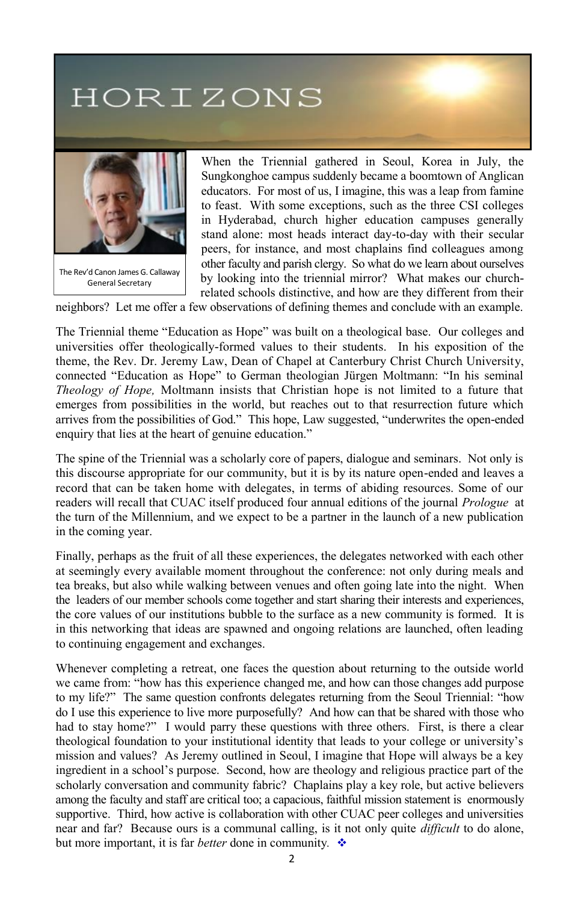# HORIZONS



When the Triennial gathered in Seoul, Korea in July, the Sungkonghoe campus suddenly became a boomtown of Anglican educators. For most of us, I imagine, this was a leap from famine to feast. With some exceptions, such as the three CSI colleges in Hyderabad, church higher education campuses generally stand alone: most heads interact day-to-day with their secular peers, for instance, and most chaplains find colleagues among other faculty and parish clergy. So what do we learn about ourselves by looking into the triennial mirror? What makes our churchrelated schools distinctive, and how are they different from their

neighbors? Let me offer a few observations of defining themes and conclude with an example.

The Triennial theme "Education as Hope" was built on a theological base. Our colleges and universities offer theologically-formed values to their students. In his exposition of the theme, the Rev. Dr. Jeremy Law, Dean of Chapel at Canterbury Christ Church University, connected "Education as Hope" to German theologian Jürgen Moltmann: "In his seminal *Theology of Hope,* Moltmann insists that Christian hope is not limited to a future that emerges from possibilities in the world, but reaches out to that resurrection future which arrives from the possibilities of God." This hope, Law suggested, "underwrites the open-ended enquiry that lies at the heart of genuine education."

The spine of the Triennial was a scholarly core of papers, dialogue and seminars. Not only is this discourse appropriate for our community, but it is by its nature open-ended and leaves a record that can be taken home with delegates, in terms of abiding resources. Some of our readers will recall that CUAC itself produced four annual editions of the journal *Prologue* at the turn of the Millennium, and we expect to be a partner in the launch of a new publication in the coming year.

Finally, perhaps as the fruit of all these experiences, the delegates networked with each other at seemingly every available moment throughout the conference: not only during meals and tea breaks, but also while walking between venues and often going late into the night. When the leaders of our member schools come together and start sharing their interests and experiences, the core values of our institutions bubble to the surface as a new community is formed. It is in this networking that ideas are spawned and ongoing relations are launched, often leading to continuing engagement and exchanges.

Whenever completing a retreat, one faces the question about returning to the outside world we came from: "how has this experience changed me, and how can those changes add purpose to my life?" The same question confronts delegates returning from the Seoul Triennial: "how do I use this experience to live more purposefully? And how can that be shared with those who had to stay home?" I would parry these questions with three others. First, is there a clear theological foundation to your institutional identity that leads to your college or university's mission and values? As Jeremy outlined in Seoul, I imagine that Hope will always be a key ingredient in a school's purpose. Second, how are theology and religious practice part of the scholarly conversation and community fabric? Chaplains play a key role, but active believers among the faculty and staff are critical too; a capacious, faithful mission statement is enormously supportive. Third, how active is collaboration with other CUAC peer colleges and universities near and far? Because ours is a communal calling, is it not only quite *difficult* to do alone, but more important, it is far *better* done in community*.*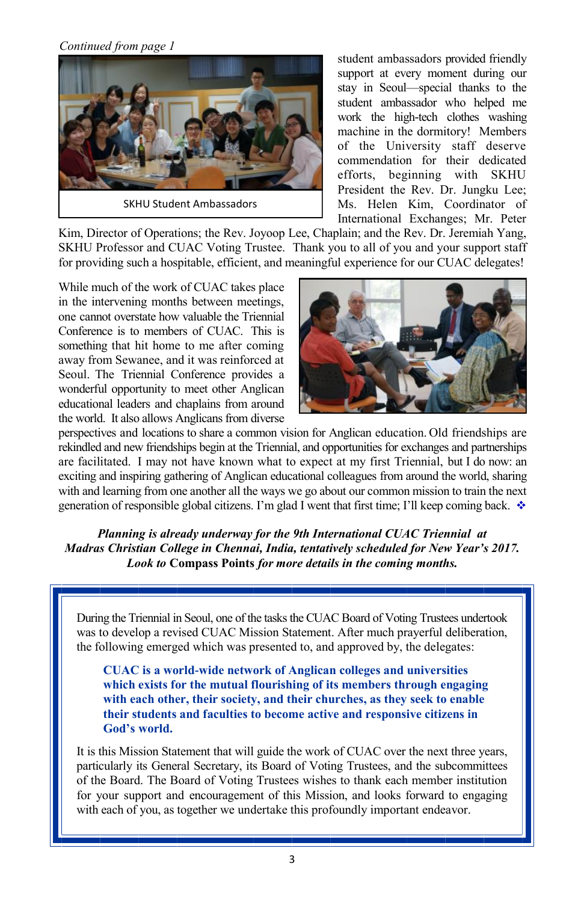*Continued from page 1*



student ambassadors provided friendly support at every moment during our stay in Seoul—special thanks to the student ambassador who helped me work the high-tech clothes washing machine in the dormitory! Members of the University staff deserve commendation for their dedicated efforts, beginning with SKHU President the Rev. Dr. Jungku Lee; Ms. Helen Kim, Coordinator of International Exchanges; Mr. Peter

Kim, Director of Operations; the Rev. Joyoop Lee, Chaplain; and the Rev. Dr. Jeremiah Yang, SKHU Professor and CUAC Voting Trustee. Thank you to all of you and your support staff for providing such a hospitable, efficient, and meaningful experience for our CUAC delegates!

While much of the work of CUAC takes place in the intervening months between meetings, one cannot overstate how valuable the Triennial Conference is to members of CUAC. This is something that hit home to me after coming away from Sewanee, and it was reinforced at Seoul. The Triennial Conference provides a wonderful opportunity to meet other Anglican educational leaders and chaplains from around the world. It also allows Anglicans from diverse



perspectives and locations to share a common vision for Anglican education. Old friendships are rekindled and new friendships begin at the Triennial, and opportunities for exchanges and partnerships are facilitated. I may not have known what to expect at my first Triennial, but I do now: an exciting and inspiring gathering of Anglican educational colleagues from around the world, sharing with and learning from one another all the ways we go about our common mission to train the next generation of responsible global citizens. I'm glad I went that first time; I'll keep coming back.  $\cdot$ 

*Planning is already underway for the 9th International CUAC Triennial at Madras Christian College in Chennai, India, tentatively scheduled for New Year's 2017. Look to* **Compass Points** *for more details in the coming months.*

During the Triennial in Seoul, one of the tasks the CUAC Board of Voting Trustees undertook was to develop a revised CUAC Mission Statement. After much prayerful deliberation, the following emerged which was presented to, and approved by, the delegates:

**CUAC is a world-wide network of Anglican colleges and universities which exists for the mutual flourishing of its members through engaging with each other, their society, and their churches, as they seek to enable their students and faculties to become active and responsive citizens in God's world.**

It is this Mission Statement that will guide the work of CUAC over the next three years, particularly its General Secretary, its Board of Voting Trustees, and the subcommittees of the Board. The Board of Voting Trustees wishes to thank each member institution for your support and encouragement of this Mission, and looks forward to engaging with each of you, as together we undertake this profoundly important endeavor.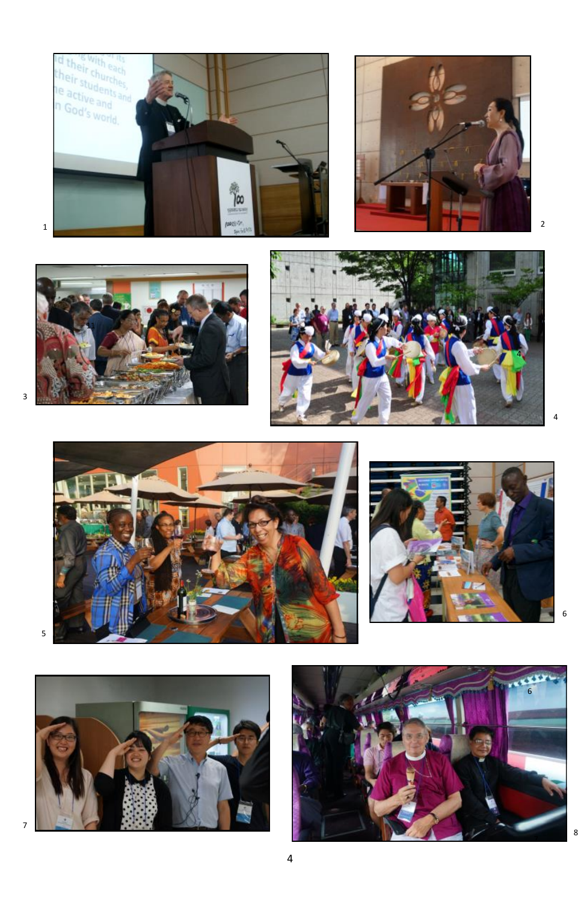













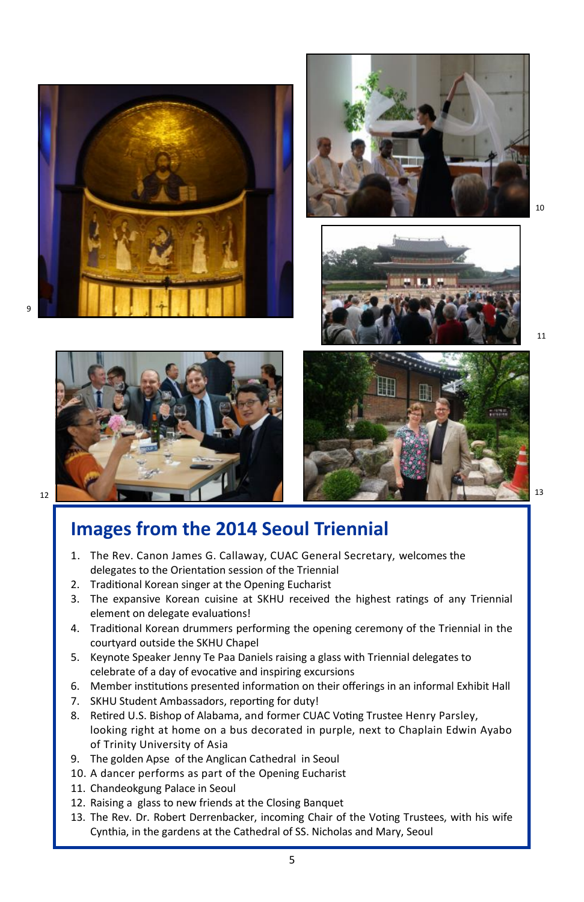









11

#### **Images from the 2014 Seoul Triennial**

- 1. The Rev. Canon James G. Callaway, CUAC General Secretary, welcomes the delegates to the Orientation session of the Triennial
- 2. Traditional Korean singer at the Opening Eucharist
- 3. The expansive Korean cuisine at SKHU received the highest ratings of any Triennial element on delegate evaluations!
- 4. Traditional Korean drummers performing the opening ceremony of the Triennial in the courtyard outside the SKHU Chapel
- 5. Keynote Speaker Jenny Te Paa Daniels raising a glass with Triennial delegates to celebrate of a day of evocative and inspiring excursions
- 6. Member institutions presented information on their offerings in an informal Exhibit Hall
- 7. SKHU Student Ambassadors, reporting for duty!
- 8. Retired U.S. Bishop of Alabama, and former CUAC Voting Trustee Henry Parsley, looking right at home on a bus decorated in purple, next to Chaplain Edwin Ayabo of Trinity University of Asia
- 9. The golden Apse of the Anglican Cathedral in Seoul
- 10. A dancer performs as part of the Opening Eucharist
- 11. Chandeokgung Palace in Seoul
- 12. Raising a glass to new friends at the Closing Banquet
- 13. The Rev. Dr. Robert Derrenbacker, incoming Chair of the Voting Trustees, with his wife Cynthia, in the gardens at the Cathedral of SS. Nicholas and Mary, Seoul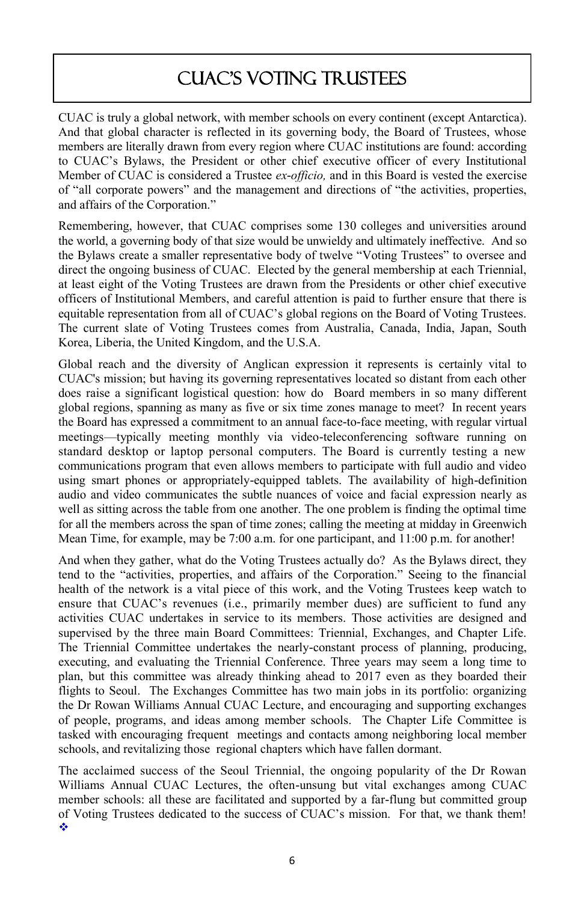#### CUAC's voting trustees

CUAC is truly a global network, with member schools on every continent (except Antarctica). And that global character is reflected in its governing body, the Board of Trustees, whose members are literally drawn from every region where CUAC institutions are found: according to CUAC's Bylaws, the President or other chief executive officer of every Institutional Member of CUAC is considered a Trustee *ex-officio,* and in this Board is vested the exercise of "all corporate powers" and the management and directions of "the activities, properties, and affairs of the Corporation."

Remembering, however, that CUAC comprises some 130 colleges and universities around the world, a governing body of that size would be unwieldy and ultimately ineffective. And so the Bylaws create a smaller representative body of twelve "Voting Trustees" to oversee and direct the ongoing business of CUAC. Elected by the general membership at each Triennial, at least eight of the Voting Trustees are drawn from the Presidents or other chief executive officers of Institutional Members, and careful attention is paid to further ensure that there is equitable representation from all of CUAC's global regions on the Board of Voting Trustees. The current slate of Voting Trustees comes from Australia, Canada, India, Japan, South Korea, Liberia, the United Kingdom, and the U.S.A.

Global reach and the diversity of Anglican expression it represents is certainly vital to CUAC's mission; but having its governing representatives located so distant from each other does raise a significant logistical question: how do Board members in so many different global regions, spanning as many as five or six time zones manage to meet? In recent years the Board has expressed a commitment to an annual face-to-face meeting, with regular virtual meetings—typically meeting monthly via video-teleconferencing software running on standard desktop or laptop personal computers. The Board is currently testing a new communications program that even allows members to participate with full audio and video using smart phones or appropriately-equipped tablets. The availability of high-definition audio and video communicates the subtle nuances of voice and facial expression nearly as well as sitting across the table from one another. The one problem is finding the optimal time for all the members across the span of time zones; calling the meeting at midday in Greenwich Mean Time, for example, may be 7:00 a.m. for one participant, and 11:00 p.m. for another!

And when they gather, what do the Voting Trustees actually do? As the Bylaws direct, they tend to the "activities, properties, and affairs of the Corporation." Seeing to the financial health of the network is a vital piece of this work, and the Voting Trustees keep watch to ensure that CUAC's revenues (i.e., primarily member dues) are sufficient to fund any activities CUAC undertakes in service to its members. Those activities are designed and supervised by the three main Board Committees: Triennial, Exchanges, and Chapter Life. The Triennial Committee undertakes the nearly-constant process of planning, producing, executing, and evaluating the Triennial Conference. Three years may seem a long time to plan, but this committee was already thinking ahead to 2017 even as they boarded their flights to Seoul. The Exchanges Committee has two main jobs in its portfolio: organizing the Dr Rowan Williams Annual CUAC Lecture, and encouraging and supporting exchanges of people, programs, and ideas among member schools. The Chapter Life Committee is tasked with encouraging frequent meetings and contacts among neighboring local member schools, and revitalizing those regional chapters which have fallen dormant.

The acclaimed success of the Seoul Triennial, the ongoing popularity of the Dr Rowan Williams Annual CUAC Lectures, the often-unsung but vital exchanges among CUAC member schools: all these are facilitated and supported by a far-flung but committed group of Voting Trustees dedicated to the success of CUAC's mission. For that, we thank them! ÷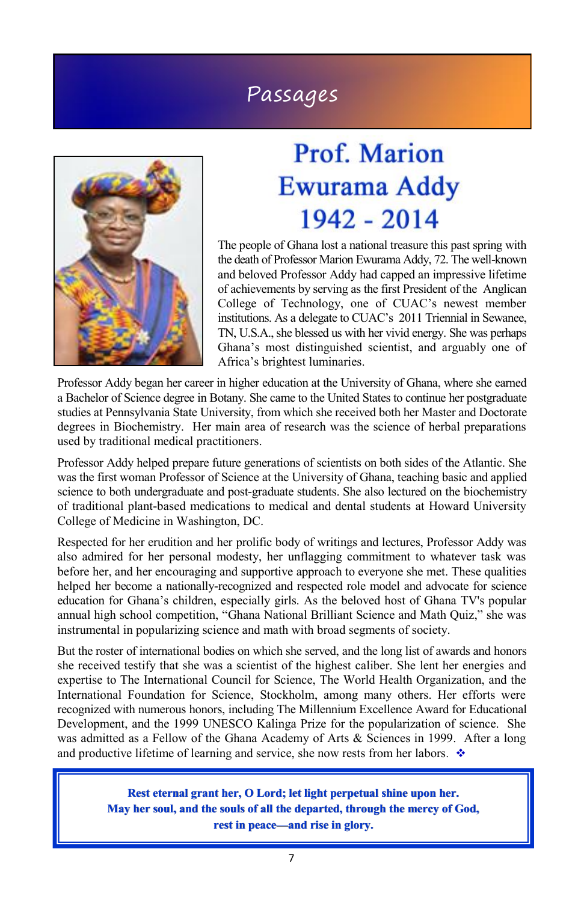#### Passages



## **Prof. Marion** Ewurama Addy 1942 - 2014

The people of Ghana lost a national treasure this past spring with the death of Professor Marion Ewurama Addy, 72. The well-known and beloved Professor Addy had capped an impressive lifetime of achievements by serving as the first President of the Anglican College of Technology, one of CUAC's newest member institutions. As a delegate to CUAC's 2011 Triennial in Sewanee, TN, U.S.A., she blessed us with her vivid energy. She was perhaps Ghana's most distinguished scientist, and arguably one of Africa's brightest luminaries.

Professor Addy began her career in higher education at the University of Ghana, where she earned a Bachelor of Science degree in Botany. She came to the United States to continue her postgraduate studies at Pennsylvania State University, from which she received both her Master and Doctorate degrees in Biochemistry. Her main area of research was the science of herbal preparations used by traditional medical practitioners.

Professor Addy helped prepare future generations of scientists on both sides of the Atlantic. She was the first woman Professor of Science at the University of Ghana, teaching basic and applied science to both undergraduate and post-graduate students. She also lectured on the biochemistry of traditional plant-based medications to medical and dental students at Howard University College of Medicine in Washington, DC.

Respected for her erudition and her prolific body of writings and lectures, Professor Addy was also admired for her personal modesty, her unflagging commitment to whatever task was before her, and her encouraging and supportive approach to everyone she met. These qualities helped her become a nationally-recognized and respected role model and advocate for science education for Ghana's children, especially girls. As the beloved host of Ghana TV's popular annual high school competition, "Ghana National Brilliant Science and Math Quiz," she was instrumental in popularizing science and math with broad segments of society.

But the roster of international bodies on which she served, and the long list of awards and honors she received testify that she was a scientist of the highest caliber. She lent her energies and expertise to The International Council for Science, The World Health Organization, and the International Foundation for Science, Stockholm, among many others. Her efforts were recognized with numerous honors, including The Millennium Excellence Award for Educational Development, and the 1999 UNESCO Kalinga Prize for the popularization of science. She was admitted as a Fellow of the Ghana Academy of Arts & Sciences in 1999. After a long and productive lifetime of learning and service, she now rests from her labors*.*

> **Rest eternal grant her, O Lord; let light perpetual shine upon her. May her soul, and the souls of all the departed, through the mercy of God, rest in peace—and rise in glory.**